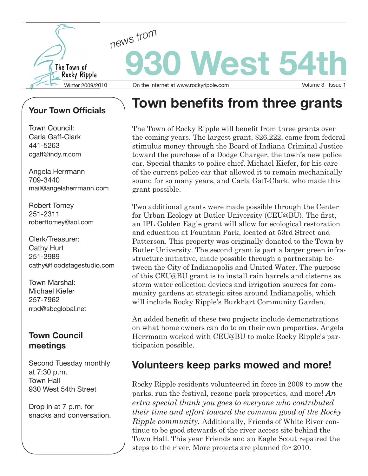

## **Your Town Officials**

Town Council: Carla Gaff-Clark 441-5263 cgaff@indy.rr.com

Angela Herrmann 709-3440 mail@angelaherrmann.com

Robert Tomey 251-2311 roberttomey@aol.com

Clerk/Treasurer: Cathy Hurt 251-3989 cathy@floodstagestudio.com

Town Marshal: Michael Kiefer 257-7962 rrpd@sbcglobal.net

#### **Town Council meetings**

Second Tuesday monthly at 7:30 p.m. Town Hall 930 West 54th Street

Drop in at 7 p.m. for snacks and conversation.

# **Town benefits from three grants**

The Town of Rocky Ripple will benefit from three grants over the coming years. The largest grant, \$26,222, came from federal stimulus money through the Board of Indiana Criminal Justice toward the purchase of a Dodge Charger, the town's new police car. Special thanks to police chief, Michael Kiefer, for his care of the current police car that allowed it to remain mechanically sound for so many years, and Carla Gaff-Clark, who made this grant possible.

Two additional grants were made possible through the Center for Urban Ecology at Butler University (CEU@BU). The first, an IPL Golden Eagle grant will allow for ecological restoration and education at Fountain Park, located at 53rd Street and Patterson. This property was originally donated to the Town by Butler University. The second grant is part a larger green infrastructure initiative, made possible through a partnership between the City of Indianapolis and United Water. The purpose of this CEU@BU grant is to install rain barrels and cisterns as storm water collection devices and irrigation sources for community gardens at strategic sites around Indianapolis, which will include Rocky Ripple's Burkhart Community Garden.

An added benefit of these two projects include demonstrations on what home owners can do to on their own properties. Angela Herrmann worked with CEU@BU to make Rocky Ripple's participation possible.

# **Volunteers keep parks mowed and more!**

Rocky Ripple residents volunteered in force in 2009 to mow the parks, run the festival, rezone park properties, and more! *An extra special thank you goes to everyone who contributed their time and effort toward the common good of the Rocky Ripple community.* Additionally, Friends of White River continue to be good stewards of the river access site behind the Town Hall. This year Friends and an Eagle Scout repaired the steps to the river. More projects are planned for 2010.